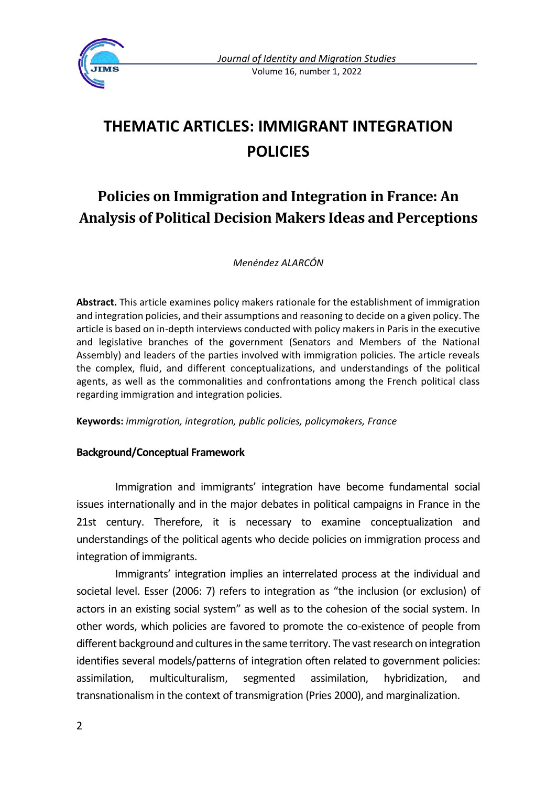

# **THEMATIC ARTICLES: IMMIGRANT INTEGRATION POLICIES**

## **Policies on Immigration and Integration in France: An Analysis of Political Decision Makers Ideas and Perceptions**

*Menéndez ALARCÓN*

**Abstract.** This article examines policy makers rationale for the establishment of immigration and integration policies, and their assumptions and reasoning to decide on a given policy. The article is based on in-depth interviews conducted with policy makers in Paris in the executive and legislative branches of the government (Senators and Members of the National Assembly) and leaders of the parties involved with immigration policies. The article reveals the complex, fluid, and different conceptualizations, and understandings of the political agents, as well as the commonalities and confrontations among the French political class regarding immigration and integration policies.

**Keywords:** *immigration, integration, public policies, policymakers, France*

## **Background/Conceptual Framework**

Immigration and immigrants' integration have become fundamental social issues internationally and in the major debates in political campaigns in France in the 21st century. Therefore, it is necessary to examine conceptualization and understandings of the political agents who decide policies on immigration process and integration of immigrants.

Immigrants' integration implies an interrelated process at the individual and societal level. Esser (2006: 7) refers to integration as "the inclusion (or exclusion) of actors in an existing social system" as well as to the cohesion of the social system. In other words, which policies are favored to promote the co-existence of people from different background and cultures in the same territory. The vast research on integration identifies several models/patterns of integration often related to government policies: assimilation, multiculturalism, segmented assimilation, hybridization, and transnationalism in the context of transmigration (Pries 2000), and marginalization.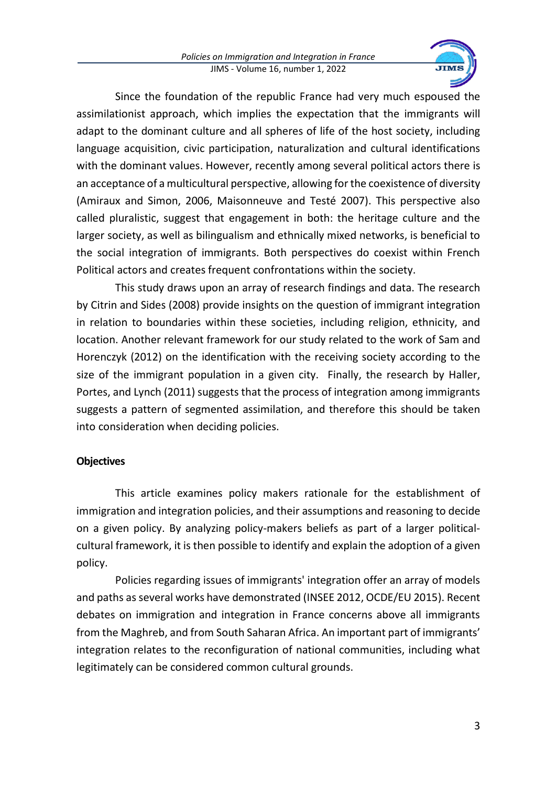

Since the foundation of the republic France had very much espoused the assimilationist approach, which implies the expectation that the immigrants will adapt to the dominant culture and all spheres of life of the host society, including language acquisition, civic participation, naturalization and cultural identifications with the dominant values. However, recently among several political actors there is an acceptance of a multicultural perspective, allowing for the coexistence of diversity (Amiraux and Simon, 2006, Maisonneuve and Testé 2007). This perspective also called pluralistic, suggest that engagement in both: the heritage culture and the larger society, as well as bilingualism and ethnically mixed networks, is beneficial to the social integration of immigrants. Both perspectives do coexist within French Political actors and creates frequent confrontations within the society.

This study draws upon an array of research findings and data. The research by Citrin and Sides (2008) provide insights on the question of immigrant integration in relation to boundaries within these societies, including religion, ethnicity, and location. Another relevant framework for our study related to the work of Sam and Horenczyk (2012) on the identification with the receiving society according to the size of the immigrant population in a given city. Finally, the research by Haller, Portes, and Lynch (2011) suggests that the process of integration among immigrants suggests a pattern of segmented assimilation, and therefore this should be taken into consideration when deciding policies.

## **Objectives**

This article examines policy makers rationale for the establishment of immigration and integration policies, and their assumptions and reasoning to decide on a given policy. By analyzing policy-makers beliefs as part of a larger politicalcultural framework, it is then possible to identify and explain the adoption of a given policy.

Policies regarding issues of immigrants' integration offer an array of models and paths as several works have demonstrated (INSEE 2012, OCDE/EU 2015). Recent debates on immigration and integration in France concerns above all immigrants from the Maghreb, and from South Saharan Africa. An important part of immigrants' integration relates to the reconfiguration of national communities, including what legitimately can be considered common cultural grounds.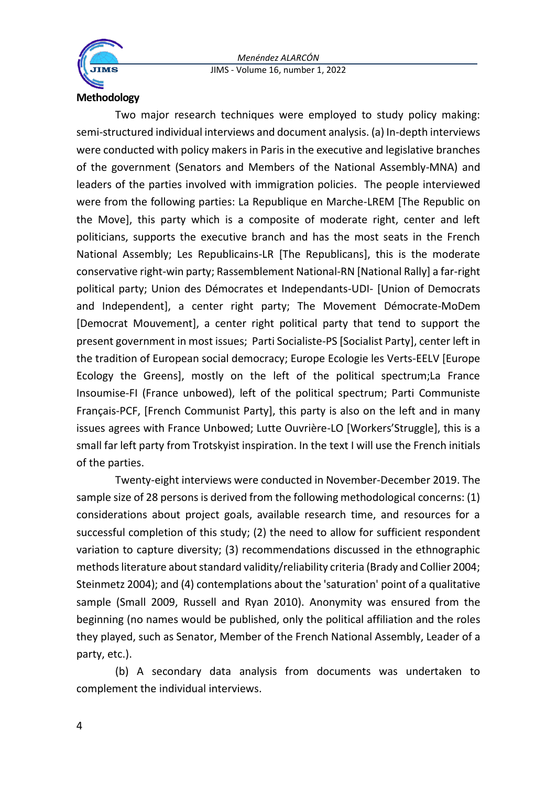



### **Methodology**

Two major research techniques were employed to study policy making: semi-structured individual interviews and document analysis. (a) In-depth interviews were conducted with policy makers in Paris in the executive and legislative branches of the government (Senators and Members of the National Assembly-MNA) and leaders of the parties involved with immigration policies. The people interviewed were from the following parties: La Republique en Marche-LREM [The Republic on the Move], this party which is a composite of moderate right, center and left politicians, supports the executive branch and has the most seats in the French National Assembly; Les Republicains-LR [The Republicans], this is the moderate conservative right-win party; Rassemblement National-RN [National Rally] a far-right political party; Union des Démocrates et Independants-UDI- [Union of Democrats and Independent], a center right party; The Movement Démocrate-MoDem [Democrat Mouvement], a center right political party that tend to support the present government in most issues; Parti Socialiste-PS [Socialist Party], center left in the tradition of European social democracy; Europe Ecologie les Verts-EELV [Europe Ecology the Greens], mostly on the left of the political spectrum;La France Insoumise-FI (France unbowed), left of the political spectrum; Parti Communiste Français-PCF, [French Communist Party], this party is also on the left and in many issues agrees with France Unbowed; Lutte Ouvrière-LO [Workers'Struggle], this is a small far left party from Trotskyist inspiration. In the text I will use the French initials of the parties.

Twenty-eight interviews were conducted in November-December 2019. The sample size of 28 persons is derived from the following methodological concerns: (1) considerations about project goals, available research time, and resources for a successful completion of this study; (2) the need to allow for sufficient respondent variation to capture diversity; (3) recommendations discussed in the ethnographic methods literature about standard validity/reliability criteria (Brady and Collier 2004; Steinmetz 2004); and (4) contemplations about the 'saturation' point of a qualitative sample (Small 2009, Russell and Ryan 2010). Anonymity was ensured from the beginning (no names would be published, only the political affiliation and the roles they played, such as Senator, Member of the French National Assembly, Leader of a party, etc.).

(b) A secondary data analysis from documents was undertaken to complement the individual interviews.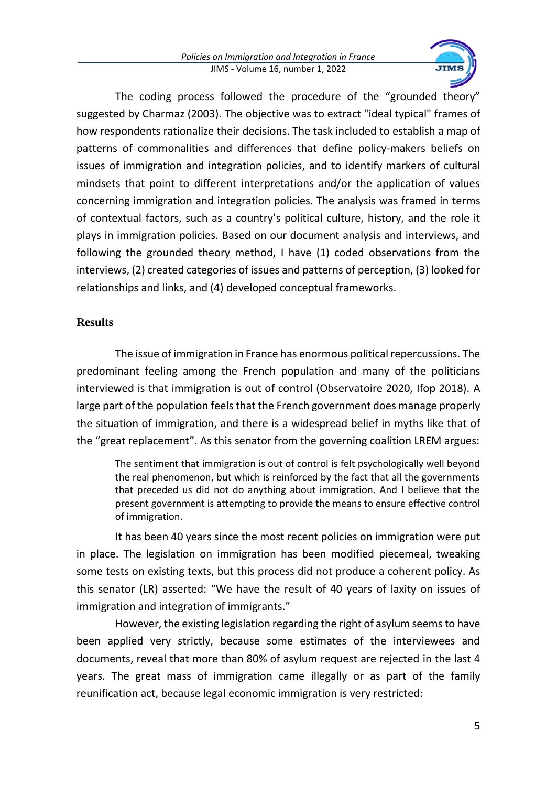

The coding process followed the procedure of the "grounded theory" suggested by Charmaz (2003). The objective was to extract "ideal typical" frames of how respondents rationalize their decisions. The task included to establish a map of patterns of commonalities and differences that define policy-makers beliefs on issues of immigration and integration policies, and to identify markers of cultural mindsets that point to different interpretations and/or the application of values concerning immigration and integration policies. The analysis was framed in terms of contextual factors, such as a country's political culture, history, and the role it plays in immigration policies. Based on our document analysis and interviews, and following the grounded theory method, I have (1) coded observations from the interviews, (2) created categories of issues and patterns of perception, (3) looked for relationships and links, and (4) developed conceptual frameworks.

## **Results**

The issue of immigration in France has enormous political repercussions. The predominant feeling among the French population and many of the politicians interviewed is that immigration is out of control (Observatoire 2020, Ifop 2018). A large part of the population feels that the French government does manage properly the situation of immigration, and there is a widespread belief in myths like that of the "great replacement". As this senator from the governing coalition LREM argues:

The sentiment that immigration is out of control is felt psychologically well beyond the real phenomenon, but which is reinforced by the fact that all the governments that preceded us did not do anything about immigration. And I believe that the present government is attempting to provide the means to ensure effective control of immigration.

It has been 40 years since the most recent policies on immigration were put in place. The legislation on immigration has been modified piecemeal, tweaking some tests on existing texts, but this process did not produce a coherent policy. As this senator (LR) asserted: "We have the result of 40 years of laxity on issues of immigration and integration of immigrants."

However, the existing legislation regarding the right of asylum seems to have been applied very strictly, because some estimates of the interviewees and documents, reveal that more than 80% of asylum request are rejected in the last 4 years. The great mass of immigration came illegally or as part of the family reunification act, because legal economic immigration is very restricted: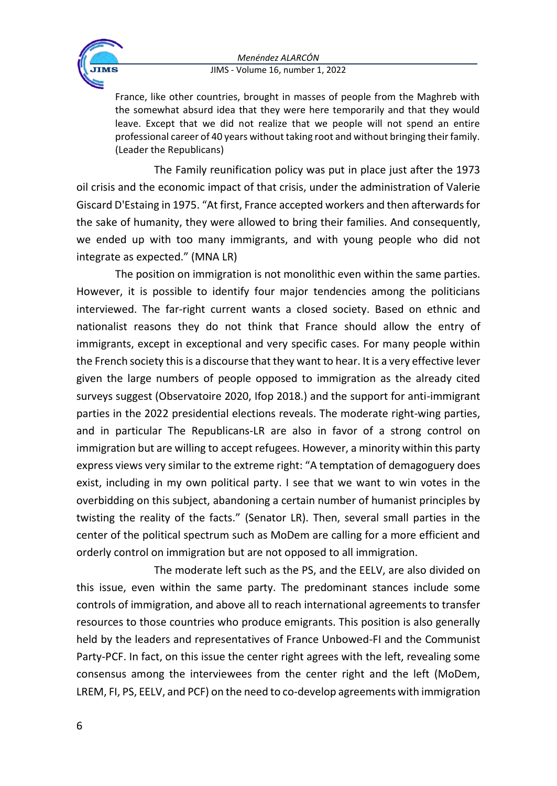

France, like other countries, brought in masses of people from the Maghreb with the somewhat absurd idea that they were here temporarily and that they would leave. Except that we did not realize that we people will not spend an entire professional career of 40 years without taking root and without bringing their family. (Leader the Republicans)

The Family reunification policy was put in place just after the 1973 oil crisis and the economic impact of that crisis, under the administration of Valerie Giscard D'Estaing in 1975. "At first, France accepted workers and then afterwards for the sake of humanity, they were allowed to bring their families. And consequently, we ended up with too many immigrants, and with young people who did not integrate as expected." (MNA LR)

The position on immigration is not monolithic even within the same parties. However, it is possible to identify four major tendencies among the politicians interviewed. The far-right current wants a closed society. Based on ethnic and nationalist reasons they do not think that France should allow the entry of immigrants, except in exceptional and very specific cases. For many people within the French society this is a discourse that they want to hear. It is a very effective lever given the large numbers of people opposed to immigration as the already cited surveys suggest (Observatoire 2020, Ifop 2018.) and the support for anti-immigrant parties in the 2022 presidential elections reveals. The moderate right-wing parties, and in particular The Republicans-LR are also in favor of a strong control on immigration but are willing to accept refugees. However, a minority within this party express views very similar to the extreme right: "A temptation of demagoguery does exist, including in my own political party. I see that we want to win votes in the overbidding on this subject, abandoning a certain number of humanist principles by twisting the reality of the facts." (Senator LR). Then, several small parties in the center of the political spectrum such as MoDem are calling for a more efficient and orderly control on immigration but are not opposed to all immigration.

The moderate left such as the PS, and the EELV, are also divided on this issue, even within the same party. The predominant stances include some controls of immigration, and above all to reach international agreements to transfer resources to those countries who produce emigrants. This position is also generally held by the leaders and representatives of France Unbowed-FI and the Communist Party-PCF. In fact, on this issue the center right agrees with the left, revealing some consensus among the interviewees from the center right and the left (MoDem, LREM, FI, PS, EELV, and PCF) on the need to co-develop agreements with immigration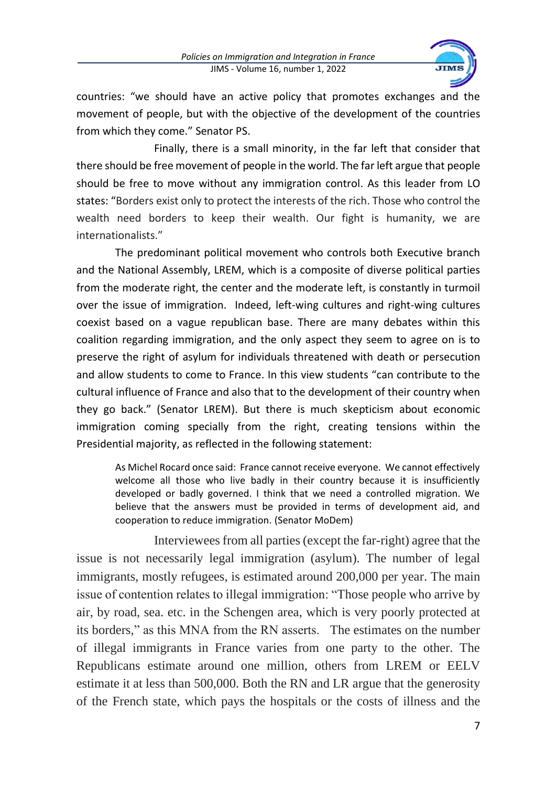

countries: "we should have an active policy that promotes exchanges and the movement of people, but with the objective of the development of the countries from which they come." Senator PS.

Finally, there is a small minority, in the far left that consider that there should be free movement of people in the world. The far left argue that people should be free to move without any immigration control. As this leader from LO states: "Borders exist only to protect the interests of the rich. Those who control the wealth need borders to keep their wealth. Our fight is humanity, we are internationalists."

The predominant political movement who controls both Executive branch and the National Assembly, LREM, which is a composite of diverse political parties from the moderate right, the center and the moderate left, is constantly in turmoil over the issue of immigration. Indeed, left-wing cultures and right-wing cultures coexist based on a vague republican base. There are many debates within this coalition regarding immigration, and the only aspect they seem to agree on is to preserve the right of asylum for individuals threatened with death or persecution and allow students to come to France. In this view students "can contribute to the cultural influence of France and also that to the development of their country when they go back." (Senator LREM). But there is much skepticism about economic immigration coming specially from the right, creating tensions within the Presidential majority, as reflected in the following statement:

As Michel Rocard once said: France cannot receive everyone. We cannot effectively welcome all those who live badly in their country because it is insufficiently developed or badly governed. I think that we need a controlled migration. We believe that the answers must be provided in terms of development aid, and cooperation to reduce immigration. (Senator MoDem)

Interviewees from all parties (except the far-right) agree that the issue is not necessarily legal immigration (asylum). The number of legal immigrants, mostly refugees, is estimated around 200,000 per year. The main issue of contention relates to illegal immigration: "Those people who arrive by air, by road, sea. etc. in the Schengen area, which is very poorly protected at its borders," as this MNA from the RN asserts. The estimates on the number of illegal immigrants in France varies from one party to the other. The Republicans estimate around one million, others from LREM or EELV estimate it at less than 500,000. Both the RN and LR argue that the generosity of the French state, which pays the hospitals or the costs of illness and the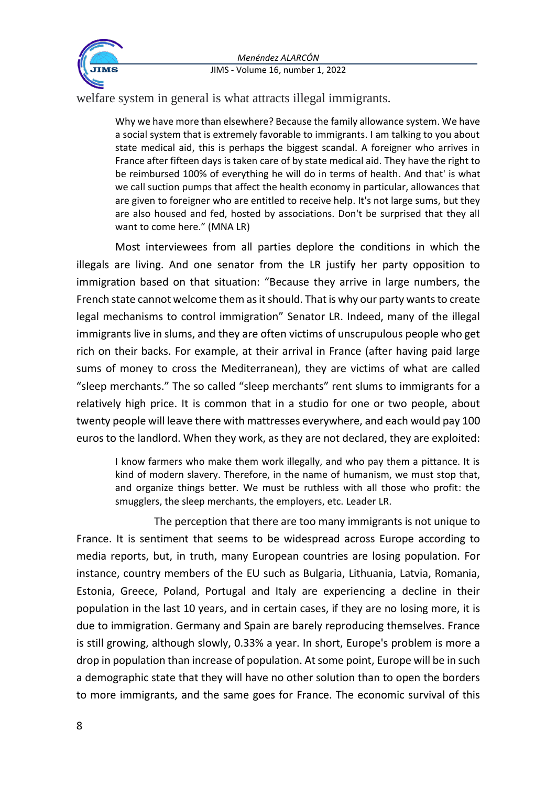

welfare system in general is what attracts illegal immigrants.

Why we have more than elsewhere? Because the family allowance system. We have a social system that is extremely favorable to immigrants. I am talking to you about state medical aid, this is perhaps the biggest scandal. A foreigner who arrives in France after fifteen days is taken care of by state medical aid. They have the right to be reimbursed 100% of everything he will do in terms of health. And that' is what we call suction pumps that affect the health economy in particular, allowances that are given to foreigner who are entitled to receive help. It's not large sums, but they are also housed and fed, hosted by associations. Don't be surprised that they all want to come here." (MNA LR)

Most interviewees from all parties deplore the conditions in which the illegals are living. And one senator from the LR justify her party opposition to immigration based on that situation: "Because they arrive in large numbers, the French state cannot welcome them as it should. That is why our party wants to create legal mechanisms to control immigration" Senator LR. Indeed, many of the illegal immigrants live in slums, and they are often victims of unscrupulous people who get rich on their backs. For example, at their arrival in France (after having paid large sums of money to cross the Mediterranean), they are victims of what are called "sleep merchants." The so called "sleep merchants" rent slums to immigrants for a relatively high price. It is common that in a studio for one or two people, about twenty people will leave there with mattresses everywhere, and each would pay 100 euros to the landlord. When they work, as they are not declared, they are exploited:

I know farmers who make them work illegally, and who pay them a pittance. It is kind of modern slavery. Therefore, in the name of humanism, we must stop that, and organize things better. We must be ruthless with all those who profit: the smugglers, the sleep merchants, the employers, etc. Leader LR.

The perception that there are too many immigrants is not unique to France. It is sentiment that seems to be widespread across Europe according to media reports, but, in truth, many European countries are losing population. For instance, country members of the EU such as Bulgaria, Lithuania, Latvia, Romania, Estonia, Greece, Poland, Portugal and Italy are experiencing a decline in their population in the last 10 years, and in certain cases, if they are no losing more, it is due to immigration. Germany and Spain are barely reproducing themselves. France is still growing, although slowly, 0.33% a year. In short, Europe's problem is more a drop in population than increase of population. At some point, Europe will be in such a demographic state that they will have no other solution than to open the borders to more immigrants, and the same goes for France. The economic survival of this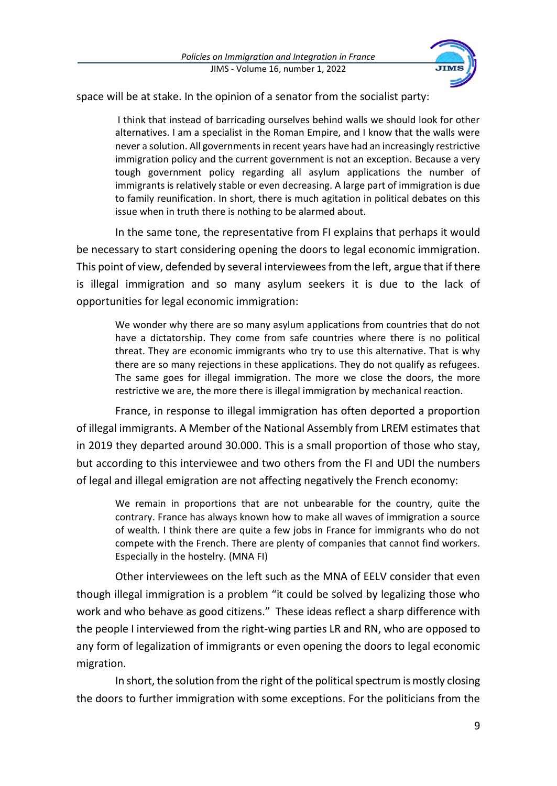

space will be at stake. In the opinion of a senator from the socialist party:

I think that instead of barricading ourselves behind walls we should look for other alternatives. I am a specialist in the Roman Empire, and I know that the walls were never a solution. All governments in recent years have had an increasingly restrictive immigration policy and the current government is not an exception. Because a very tough government policy regarding all asylum applications the number of immigrants is relatively stable or even decreasing. A large part of immigration is due to family reunification. In short, there is much agitation in political debates on this issue when in truth there is nothing to be alarmed about.

In the same tone, the representative from FI explains that perhaps it would be necessary to start considering opening the doors to legal economic immigration. This point of view, defended by several interviewees from the left, argue that if there is illegal immigration and so many asylum seekers it is due to the lack of opportunities for legal economic immigration:

We wonder why there are so many asylum applications from countries that do not have a dictatorship. They come from safe countries where there is no political threat. They are economic immigrants who try to use this alternative. That is why there are so many rejections in these applications. They do not qualify as refugees. The same goes for illegal immigration. The more we close the doors, the more restrictive we are, the more there is illegal immigration by mechanical reaction.

France, in response to illegal immigration has often deported a proportion of illegal immigrants. A Member of the National Assembly from LREM estimates that in 2019 they departed around 30.000. This is a small proportion of those who stay, but according to this interviewee and two others from the FI and UDI the numbers of legal and illegal emigration are not affecting negatively the French economy:

We remain in proportions that are not unbearable for the country, quite the contrary. France has always known how to make all waves of immigration a source of wealth. I think there are quite a few jobs in France for immigrants who do not compete with the French. There are plenty of companies that cannot find workers. Especially in the hostelry. (MNA FI)

Other interviewees on the left such as the MNA of EELV consider that even though illegal immigration is a problem "it could be solved by legalizing those who work and who behave as good citizens." These ideas reflect a sharp difference with the people I interviewed from the right-wing parties LR and RN, who are opposed to any form of legalization of immigrants or even opening the doors to legal economic migration.

In short, the solution from the right of the political spectrum is mostly closing the doors to further immigration with some exceptions. For the politicians from the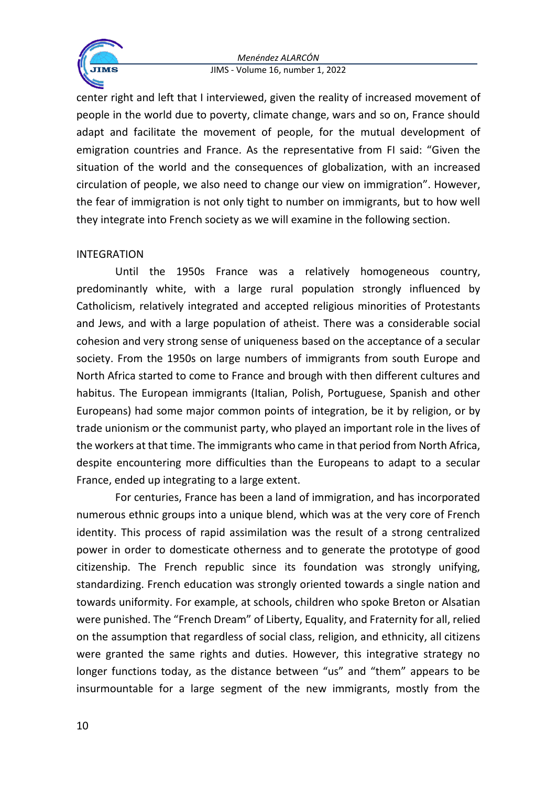

center right and left that I interviewed, given the reality of increased movement of people in the world due to poverty, climate change, wars and so on, France should adapt and facilitate the movement of people, for the mutual development of emigration countries and France. As the representative from FI said: "Given the situation of the world and the consequences of globalization, with an increased circulation of people, we also need to change our view on immigration". However, the fear of immigration is not only tight to number on immigrants, but to how well they integrate into French society as we will examine in the following section.

## INTEGRATION

Until the 1950s France was a relatively homogeneous country, predominantly white, with a large rural population strongly influenced by Catholicism, relatively integrated and accepted religious minorities of Protestants and Jews, and with a large population of atheist. There was a considerable social cohesion and very strong sense of uniqueness based on the acceptance of a secular society. From the 1950s on large numbers of immigrants from south Europe and North Africa started to come to France and brough with then different cultures and habitus. The European immigrants (Italian, Polish, Portuguese, Spanish and other Europeans) had some major common points of integration, be it by religion, or by trade unionism or the communist party, who played an important role in the lives of the workers at that time. The immigrants who came in that period from North Africa, despite encountering more difficulties than the Europeans to adapt to a secular France, ended up integrating to a large extent.

For centuries, France has been a land of immigration, and has incorporated numerous ethnic groups into a unique blend, which was at the very core of French identity. This process of rapid assimilation was the result of a strong centralized power in order to domesticate otherness and to generate the prototype of good citizenship. The French republic since its foundation was strongly unifying, standardizing. French education was strongly oriented towards a single nation and towards uniformity. For example, at schools, children who spoke Breton or Alsatian were punished. The "French Dream" of Liberty, Equality, and Fraternity for all, relied on the assumption that regardless of social class, religion, and ethnicity, all citizens were granted the same rights and duties. However, this integrative strategy no longer functions today, as the distance between "us" and "them" appears to be insurmountable for a large segment of the new immigrants, mostly from the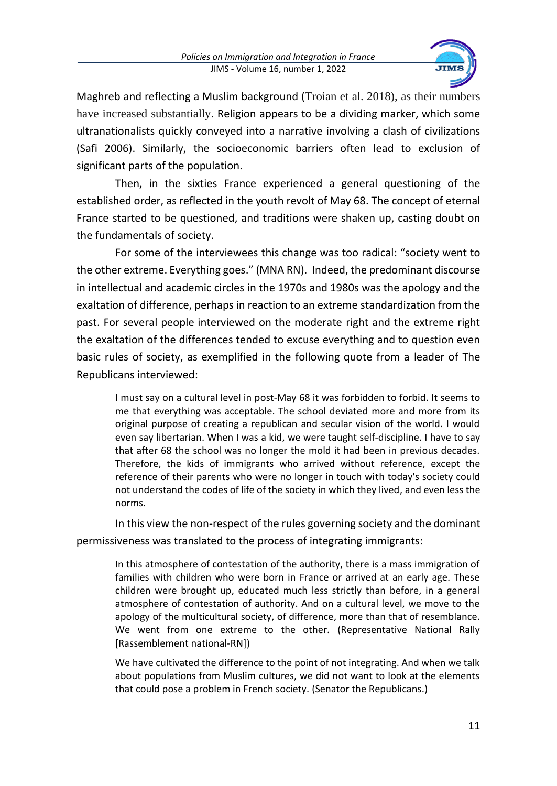

Maghreb and reflecting a Muslim background (Troian et al. 2018), as their numbers have increased substantially. Religion appears to be a dividing marker, which some ultranationalists quickly conveyed into a narrative involving a clash of civilizations (Safi 2006). Similarly, the socioeconomic barriers often lead to exclusion of significant parts of the population.

Then, in the sixties France experienced a general questioning of the established order, as reflected in the youth revolt of May 68. The concept of eternal France started to be questioned, and traditions were shaken up, casting doubt on the fundamentals of society.

For some of the interviewees this change was too radical: "society went to the other extreme. Everything goes." (MNA RN). Indeed, the predominant discourse in intellectual and academic circles in the 1970s and 1980s was the apology and the exaltation of difference, perhaps in reaction to an extreme standardization from the past. For several people interviewed on the moderate right and the extreme right the exaltation of the differences tended to excuse everything and to question even basic rules of society, as exemplified in the following quote from a leader of The Republicans interviewed:

I must say on a cultural level in post-May 68 it was forbidden to forbid. It seems to me that everything was acceptable. The school deviated more and more from its original purpose of creating a republican and secular vision of the world. I would even say libertarian. When I was a kid, we were taught self-discipline. I have to say that after 68 the school was no longer the mold it had been in previous decades. Therefore, the kids of immigrants who arrived without reference, except the reference of their parents who were no longer in touch with today's society could not understand the codes of life of the society in which they lived, and even less the norms.

In this view the non-respect of the rules governing society and the dominant permissiveness was translated to the process of integrating immigrants:

In this atmosphere of contestation of the authority, there is a mass immigration of families with children who were born in France or arrived at an early age. These children were brought up, educated much less strictly than before, in a general atmosphere of contestation of authority. And on a cultural level, we move to the apology of the multicultural society, of difference, more than that of resemblance. We went from one extreme to the other. (Representative National Rally [Rassemblement national-RN])

We have cultivated the difference to the point of not integrating. And when we talk about populations from Muslim cultures, we did not want to look at the elements that could pose a problem in French society. (Senator the Republicans.)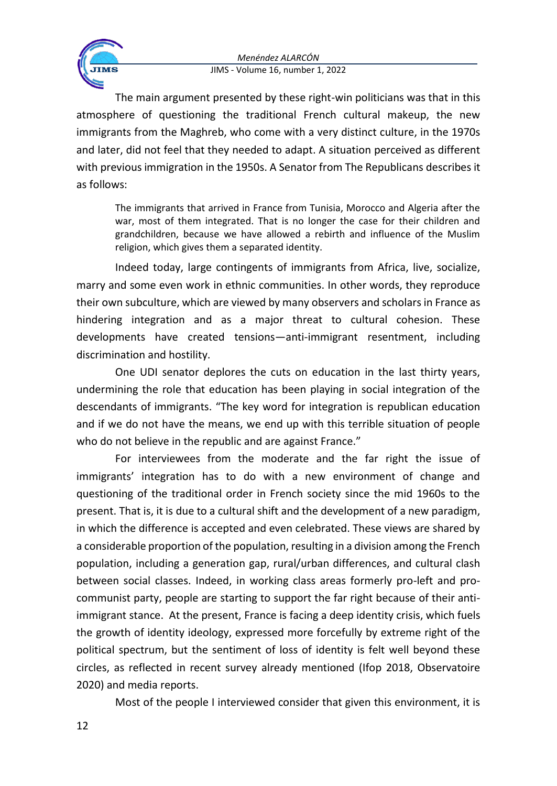

The main argument presented by these right-win politicians was that in this atmosphere of questioning the traditional French cultural makeup, the new immigrants from the Maghreb, who come with a very distinct culture, in the 1970s and later, did not feel that they needed to adapt. A situation perceived as different with previous immigration in the 1950s. A Senator from The Republicans describes it as follows:

The immigrants that arrived in France from Tunisia, Morocco and Algeria after the war, most of them integrated. That is no longer the case for their children and grandchildren, because we have allowed a rebirth and influence of the Muslim religion, which gives them a separated identity.

Indeed today, large contingents of immigrants from Africa, live, socialize, marry and some even work in ethnic communities. In other words, they reproduce their own subculture, which are viewed by many observers and scholars in France as hindering integration and as a major threat to cultural cohesion. These developments have created tensions—anti-immigrant resentment, including discrimination and hostility.

One UDI senator deplores the cuts on education in the last thirty years, undermining the role that education has been playing in social integration of the descendants of immigrants. "The key word for integration is republican education and if we do not have the means, we end up with this terrible situation of people who do not believe in the republic and are against France."

For interviewees from the moderate and the far right the issue of immigrants' integration has to do with a new environment of change and questioning of the traditional order in French society since the mid 1960s to the present. That is, it is due to a cultural shift and the development of a new paradigm, in which the difference is accepted and even celebrated. These views are shared by a considerable proportion of the population, resulting in a division among the French population, including a generation gap, rural/urban differences, and cultural clash between social classes. Indeed, in working class areas formerly pro-left and procommunist party, people are starting to support the far right because of their antiimmigrant stance. At the present, France is facing a deep identity crisis, which fuels the growth of identity ideology, expressed more forcefully by extreme right of the political spectrum, but the sentiment of loss of identity is felt well beyond these circles, as reflected in recent survey already mentioned (Ifop 2018, Observatoire 2020) and media reports.

Most of the people I interviewed consider that given this environment, it is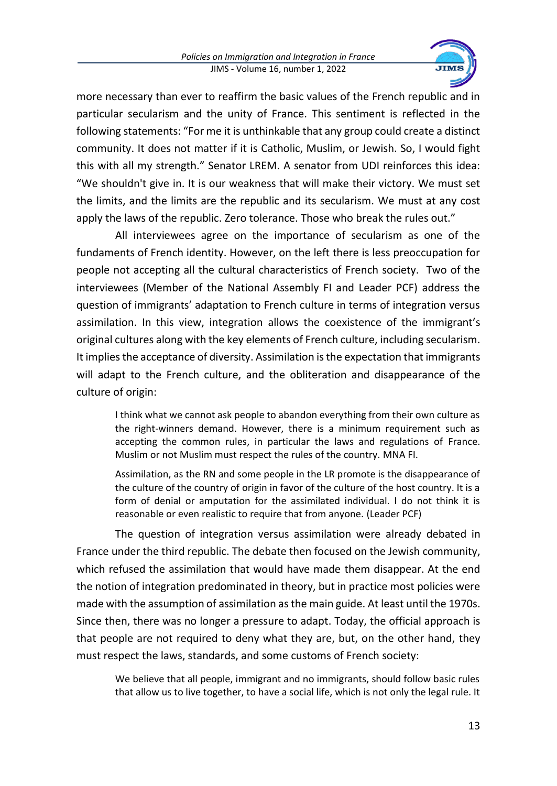

more necessary than ever to reaffirm the basic values of the French republic and in particular secularism and the unity of France. This sentiment is reflected in the following statements: "For me it is unthinkable that any group could create a distinct community. It does not matter if it is Catholic, Muslim, or Jewish. So, I would fight this with all my strength." Senator LREM. A senator from UDI reinforces this idea: "We shouldn't give in. It is our weakness that will make their victory. We must set the limits, and the limits are the republic and its secularism. We must at any cost apply the laws of the republic. Zero tolerance. Those who break the rules out."

All interviewees agree on the importance of secularism as one of the fundaments of French identity. However, on the left there is less preoccupation for people not accepting all the cultural characteristics of French society. Two of the interviewees (Member of the National Assembly FI and Leader PCF) address the question of immigrants' adaptation to French culture in terms of integration versus assimilation. In this view, integration allows the coexistence of the immigrant's original cultures along with the key elements of French culture, including secularism. It implies the acceptance of diversity. Assimilation isthe expectation that immigrants will adapt to the French culture, and the obliteration and disappearance of the culture of origin:

I think what we cannot ask people to abandon everything from their own culture as the right-winners demand. However, there is a minimum requirement such as accepting the common rules, in particular the laws and regulations of France. Muslim or not Muslim must respect the rules of the country. MNA FI.

Assimilation, as the RN and some people in the LR promote is the disappearance of the culture of the country of origin in favor of the culture of the host country. It is a form of denial or amputation for the assimilated individual. I do not think it is reasonable or even realistic to require that from anyone. (Leader PCF)

The question of integration versus assimilation were already debated in France under the third republic. The debate then focused on the Jewish community, which refused the assimilation that would have made them disappear. At the end the notion of integration predominated in theory, but in practice most policies were made with the assumption of assimilation as the main guide. At least until the 1970s. Since then, there was no longer a pressure to adapt. Today, the official approach is that people are not required to deny what they are, but, on the other hand, they must respect the laws, standards, and some customs of French society:

We believe that all people, immigrant and no immigrants, should follow basic rules that allow us to live together, to have a social life, which is not only the legal rule. It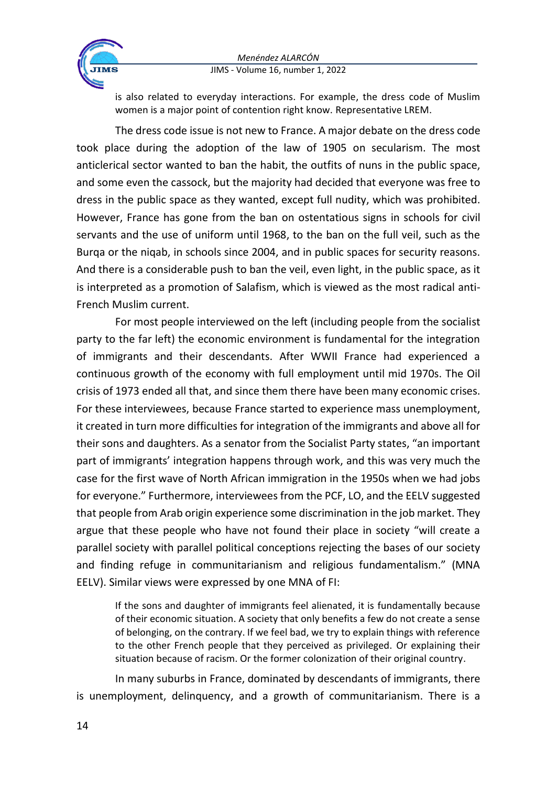

is also related to everyday interactions. For example, the dress code of Muslim women is a major point of contention right know. Representative LREM.

The dress code issue is not new to France. A major debate on the dress code took place during the adoption of the law of 1905 on secularism. The most anticlerical sector wanted to ban the habit, the outfits of nuns in the public space, and some even the cassock, but the majority had decided that everyone was free to dress in the public space as they wanted, except full nudity, which was prohibited. However, France has gone from the ban on ostentatious signs in schools for civil servants and the use of uniform until 1968, to the ban on the full veil, such as the Burqa or the niqab, in schools since 2004, and in public spaces for security reasons. And there is a considerable push to ban the veil, even light, in the public space, as it is interpreted as a promotion of Salafism, which is viewed as the most radical anti-French Muslim current.

For most people interviewed on the left (including people from the socialist party to the far left) the economic environment is fundamental for the integration of immigrants and their descendants. After WWII France had experienced a continuous growth of the economy with full employment until mid 1970s. The Oil crisis of 1973 ended all that, and since them there have been many economic crises. For these interviewees, because France started to experience mass unemployment, it created in turn more difficulties for integration of the immigrants and above all for their sons and daughters. As a senator from the Socialist Party states, "an important part of immigrants' integration happens through work, and this was very much the case for the first wave of North African immigration in the 1950s when we had jobs for everyone." Furthermore, interviewees from the PCF, LO, and the EELV suggested that people from Arab origin experience some discrimination in the job market. They argue that these people who have not found their place in society "will create a parallel society with parallel political conceptions rejecting the bases of our society and finding refuge in communitarianism and religious fundamentalism." (MNA EELV). Similar views were expressed by one MNA of FI:

If the sons and daughter of immigrants feel alienated, it is fundamentally because of their economic situation. A society that only benefits a few do not create a sense of belonging, on the contrary. If we feel bad, we try to explain things with reference to the other French people that they perceived as privileged. Or explaining their situation because of racism. Or the former colonization of their original country.

In many suburbs in France, dominated by descendants of immigrants, there is unemployment, delinquency, and a growth of communitarianism. There is a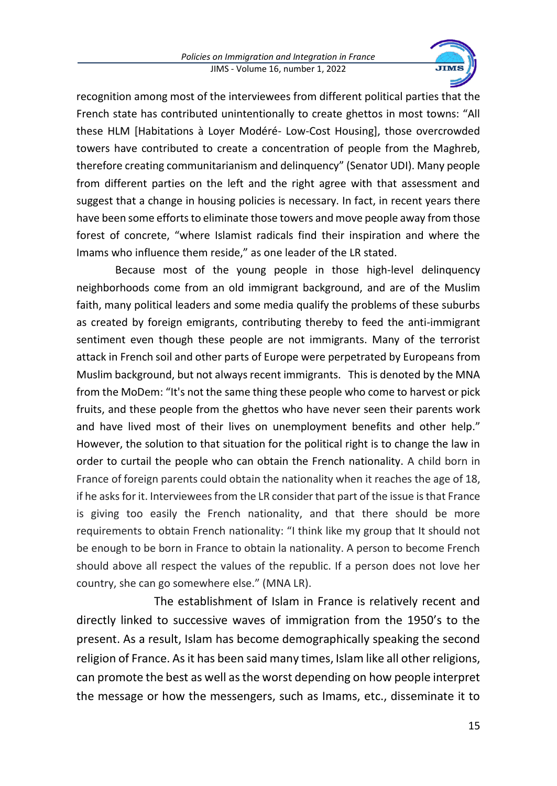

recognition among most of the interviewees from different political parties that the French state has contributed unintentionally to create ghettos in most towns: "All these HLM [Habitations à Loyer Modéré- Low-Cost Housing], those overcrowded towers have contributed to create a concentration of people from the Maghreb, therefore creating communitarianism and delinquency" (Senator UDI). Many people from different parties on the left and the right agree with that assessment and suggest that a change in housing policies is necessary. In fact, in recent years there have been some efforts to eliminate those towers and move people away from those forest of concrete, "where Islamist radicals find their inspiration and where the Imams who influence them reside," as one leader of the LR stated.

Because most of the young people in those high-level delinquency neighborhoods come from an old immigrant background, and are of the Muslim faith, many political leaders and some media qualify the problems of these suburbs as created by foreign emigrants, contributing thereby to feed the anti-immigrant sentiment even though these people are not immigrants. Many of the terrorist attack in French soil and other parts of Europe were perpetrated by Europeans from Muslim background, but not always recent immigrants. This is denoted by the MNA from the MoDem: "It's not the same thing these people who come to harvest or pick fruits, and these people from the ghettos who have never seen their parents work and have lived most of their lives on unemployment benefits and other help." However, the solution to that situation for the political right is to change the law in order to curtail the people who can obtain the French nationality. A child born in France of foreign parents could obtain the nationality when it reaches the age of 18, if he asks for it. Interviewees from the LR consider that part of the issue is that France is giving too easily the French nationality, and that there should be more requirements to obtain French nationality: "I think like my group that It should not be enough to be born in France to obtain la nationality. A person to become French should above all respect the values of the republic. If a person does not love her country, she can go somewhere else." (MNA LR).

The establishment of Islam in France is relatively recent and directly linked to successive waves of immigration from the 1950's to the present. As a result, Islam has become demographically speaking the second religion of France. As it has been said many times, Islam like all other religions, can promote the best as well as the worst depending on how people interpret the message or how the messengers, such as Imams, etc., disseminate it to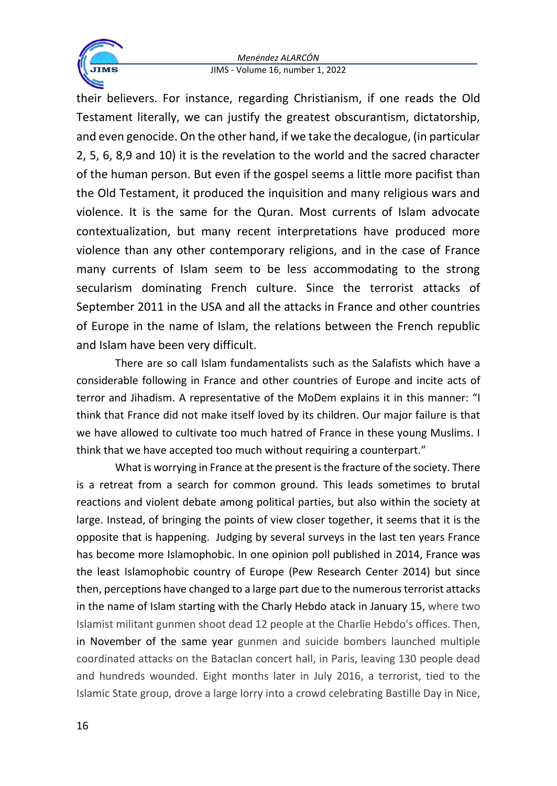

their believers. For instance, regarding Christianism, if one reads the Old Testament literally, we can justify the greatest obscurantism, dictatorship, and even genocide. On the other hand, if we take the decalogue, (in particular 2, 5, 6, 8,9 and 10) it is the revelation to the world and the sacred character of the human person. But even if the gospel seems a little more pacifist than the Old Testament, it produced the inquisition and many religious wars and violence. It is the same for the Quran. Most currents of Islam advocate contextualization, but many recent interpretations have produced more violence than any other contemporary religions, and in the case of France many currents of Islam seem to be less accommodating to the strong secularism dominating French culture. Since the terrorist attacks of September 2011 in the USA and all the attacks in France and other countries of Europe in the name of Islam, the relations between the French republic and Islam have been very difficult.

There are so call Islam fundamentalists such as the Salafists which have a considerable following in France and other countries of Europe and incite acts of terror and Jihadism. A representative of the MoDem explains it in this manner: "I think that France did not make itself loved by its children. Our major failure is that we have allowed to cultivate too much hatred of France in these young Muslims. I think that we have accepted too much without requiring a counterpart."

What is worrying in France at the present is the fracture of the society. There is a retreat from a search for common ground. This leads sometimes to brutal reactions and violent debate among political parties, but also within the society at large. Instead, of bringing the points of view closer together, it seems that it is the opposite that is happening. Judging by several surveys in the last ten years France has become more Islamophobic. In one opinion poll published in 2014, France was the least Islamophobic country of Europe (Pew Research Center 2014) but since then, perceptions have changed to a large part due to the numerousterrorist attacks in the name of Islam starting with the Charly Hebdo atack in January 15, where two Islamist militant gunmen shoot dead 12 people at the Charlie Hebdo's offices. Then, in November of the same year gunmen and suicide bombers launched multiple coordinated attacks on the Bataclan concert hall, in Paris, leaving 130 people dead and hundreds wounded. Eight months later in July 2016, a terrorist, tied to the Islamic State group, drove a large lorry into a crowd celebrating Bastille Day in Nice,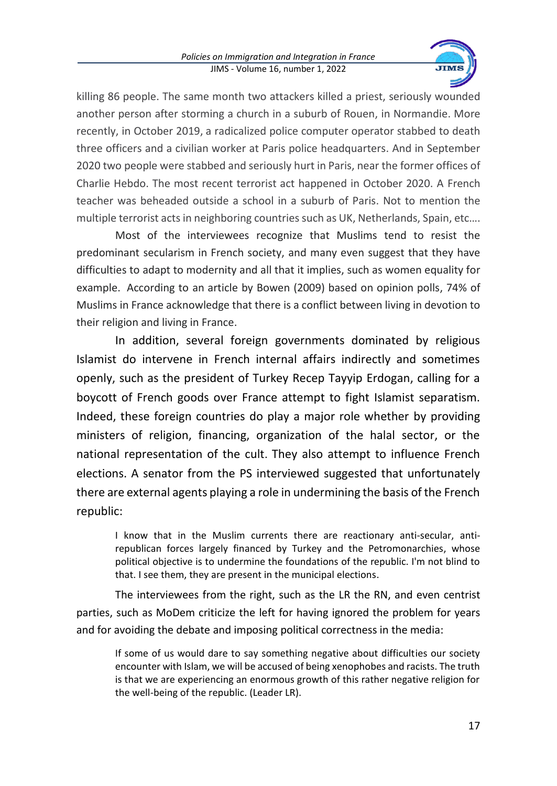

killing 86 people. The same month two attackers killed a priest, seriously wounded another person after storming a church in a suburb of Rouen, in Normandie. More recently, in October 2019, a radicalized police computer operator stabbed to death three officers and a civilian worker at Paris police headquarters. And in September 2020 two people were stabbed and seriously hurt in Paris, near the former offices of Charlie Hebdo. The most recent terrorist act happened in October 2020. A French teacher was beheaded outside a school in a suburb of Paris. Not to mention the multiple terrorist acts in neighboring countries such as UK, Netherlands, Spain, etc….

Most of the interviewees recognize that Muslims tend to resist the predominant secularism in French society, and many even suggest that they have difficulties to adapt to modernity and all that it implies, such as women equality for example. According to an article by Bowen (2009) based on opinion polls, 74% of Muslims in France acknowledge that there is a conflict between living in devotion to their religion and living in France.

In addition, several foreign governments dominated by religious Islamist do intervene in French internal affairs indirectly and sometimes openly, such as the president of Turkey Recep Tayyip Erdogan, calling for a boycott of French goods over France attempt to fight Islamist separatism. Indeed, these foreign countries do play a major role whether by providing ministers of religion, financing, organization of the halal sector, or the national representation of the cult. They also attempt to influence French elections. A senator from the PS interviewed suggested that unfortunately there are external agents playing a role in undermining the basis of the French republic:

I know that in the Muslim currents there are reactionary anti-secular, antirepublican forces largely financed by Turkey and the Petromonarchies, whose political objective is to undermine the foundations of the republic. I'm not blind to that. I see them, they are present in the municipal elections.

The interviewees from the right, such as the LR the RN, and even centrist parties, such as MoDem criticize the left for having ignored the problem for years and for avoiding the debate and imposing political correctness in the media:

If some of us would dare to say something negative about difficulties our society encounter with Islam, we will be accused of being xenophobes and racists. The truth is that we are experiencing an enormous growth of this rather negative religion for the well-being of the republic. (Leader LR).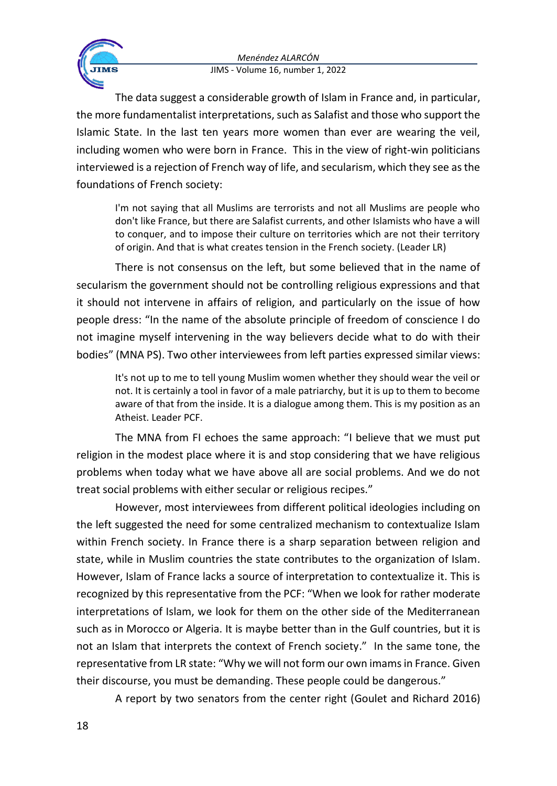

The data suggest a considerable growth of Islam in France and, in particular, the more fundamentalist interpretations, such as Salafist and those who support the Islamic State. In the last ten years more women than ever are wearing the veil, including women who were born in France. This in the view of right-win politicians interviewed is a rejection of French way of life, and secularism, which they see as the foundations of French society:

I'm not saying that all Muslims are terrorists and not all Muslims are people who don't like France, but there are Salafist currents, and other Islamists who have a will to conquer, and to impose their culture on territories which are not their territory of origin. And that is what creates tension in the French society. (Leader LR)

There is not consensus on the left, but some believed that in the name of secularism the government should not be controlling religious expressions and that it should not intervene in affairs of religion, and particularly on the issue of how people dress: "In the name of the absolute principle of freedom of conscience I do not imagine myself intervening in the way believers decide what to do with their bodies" (MNA PS). Two other interviewees from left parties expressed similar views:

It's not up to me to tell young Muslim women whether they should wear the veil or not. It is certainly a tool in favor of a male patriarchy, but it is up to them to become aware of that from the inside. It is a dialogue among them. This is my position as an Atheist. Leader PCF.

The MNA from FI echoes the same approach: "I believe that we must put religion in the modest place where it is and stop considering that we have religious problems when today what we have above all are social problems. And we do not treat social problems with either secular or religious recipes."

However, most interviewees from different political ideologies including on the left suggested the need for some centralized mechanism to contextualize Islam within French society. In France there is a sharp separation between religion and state, while in Muslim countries the state contributes to the organization of Islam. However, Islam of France lacks a source of interpretation to contextualize it. This is recognized by this representative from the PCF: "When we look for rather moderate interpretations of Islam, we look for them on the other side of the Mediterranean such as in Morocco or Algeria. It is maybe better than in the Gulf countries, but it is not an Islam that interprets the context of French society." In the same tone, the representative from LR state: "Why we will not form our own imams in France. Given their discourse, you must be demanding. These people could be dangerous."

A report by two senators from the center right (Goulet and Richard 2016)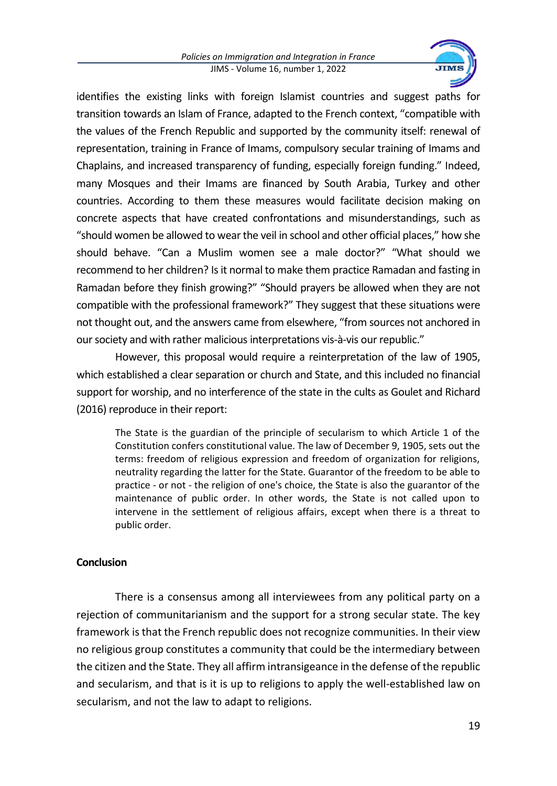

identifies the existing links with foreign Islamist countries and suggest paths for transition towards an Islam of France, adapted to the French context, "compatible with the values of the French Republic and supported by the community itself: renewal of representation, training in France of Imams, compulsory secular training of Imams and Chaplains, and increased transparency of funding, especially foreign funding." Indeed, many Mosques and their Imams are financed by South Arabia, Turkey and other countries. According to them these measures would facilitate decision making on concrete aspects that have created confrontations and misunderstandings, such as "should women be allowed to wear the veil in school and other official places," how she should behave. "Can a Muslim women see a male doctor?" "What should we recommend to her children? Is it normal to make them practice Ramadan and fasting in Ramadan before they finish growing?" "Should prayers be allowed when they are not compatible with the professional framework?" They suggest that these situations were not thought out, and the answers came from elsewhere, "from sources not anchored in our society and with rather malicious interpretations vis-à-vis our republic."

However, this proposal would require a reinterpretation of the law of 1905, which established a clear separation or church and State, and this included no financial support for worship, and no interference of the state in the cults as Goulet and Richard (2016) reproduce in their report:

The State is the guardian of the principle of secularism to which Article 1 of the Constitution confers constitutional value. The law of December 9, 1905, sets out the terms: freedom of religious expression and freedom of organization for religions, neutrality regarding the latter for the State. Guarantor of the freedom to be able to practice - or not - the religion of one's choice, the State is also the guarantor of the maintenance of public order. In other words, the State is not called upon to intervene in the settlement of religious affairs, except when there is a threat to public order.

## **Conclusion**

There is a consensus among all interviewees from any political party on a rejection of communitarianism and the support for a strong secular state. The key framework is that the French republic does not recognize communities. In their view no religious group constitutes a community that could be the intermediary between the citizen and the State. They all affirm intransigeance in the defense of the republic and secularism, and that is it is up to religions to apply the well-established law on secularism, and not the law to adapt to religions.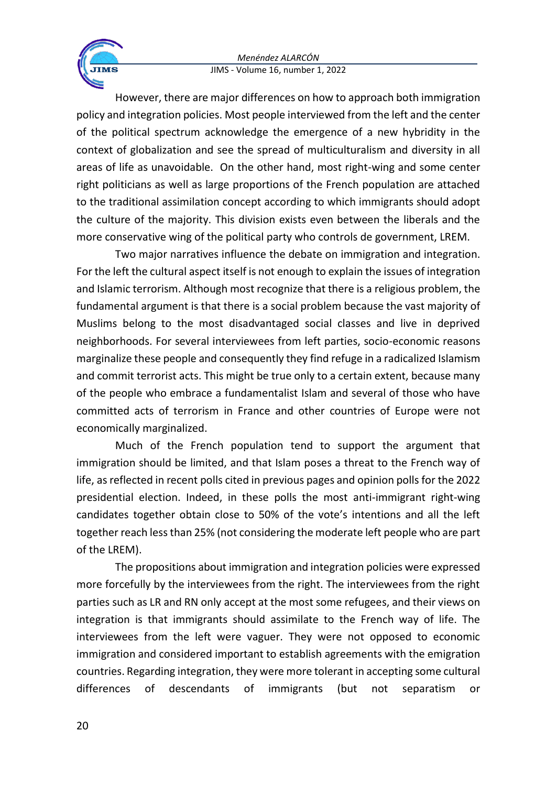

However, there are major differences on how to approach both immigration policy and integration policies. Most people interviewed from the left and the center of the political spectrum acknowledge the emergence of a new hybridity in the context of globalization and see the spread of multiculturalism and diversity in all areas of life as unavoidable. On the other hand, most right-wing and some center right politicians as well as large proportions of the French population are attached to the traditional assimilation concept according to which immigrants should adopt the culture of the majority. This division exists even between the liberals and the more conservative wing of the political party who controls de government, LREM.

Two major narratives influence the debate on immigration and integration. For the left the cultural aspect itself is not enough to explain the issues of integration and Islamic terrorism. Although most recognize that there is a religious problem, the fundamental argument is that there is a social problem because the vast majority of Muslims belong to the most disadvantaged social classes and live in deprived neighborhoods. For several interviewees from left parties, socio-economic reasons marginalize these people and consequently they find refuge in a radicalized Islamism and commit terrorist acts. This might be true only to a certain extent, because many of the people who embrace a fundamentalist Islam and several of those who have committed acts of terrorism in France and other countries of Europe were not economically marginalized.

Much of the French population tend to support the argument that immigration should be limited, and that Islam poses a threat to the French way of life, as reflected in recent polls cited in previous pages and opinion polls for the 2022 presidential election. Indeed, in these polls the most anti-immigrant right-wing candidates together obtain close to 50% of the vote's intentions and all the left together reach less than 25% (not considering the moderate left people who are part of the LREM).

The propositions about immigration and integration policies were expressed more forcefully by the interviewees from the right. The interviewees from the right parties such as LR and RN only accept at the most some refugees, and their views on integration is that immigrants should assimilate to the French way of life. The interviewees from the left were vaguer. They were not opposed to economic immigration and considered important to establish agreements with the emigration countries. Regarding integration, they were more tolerant in accepting some cultural differences of descendants of immigrants (but not separatism or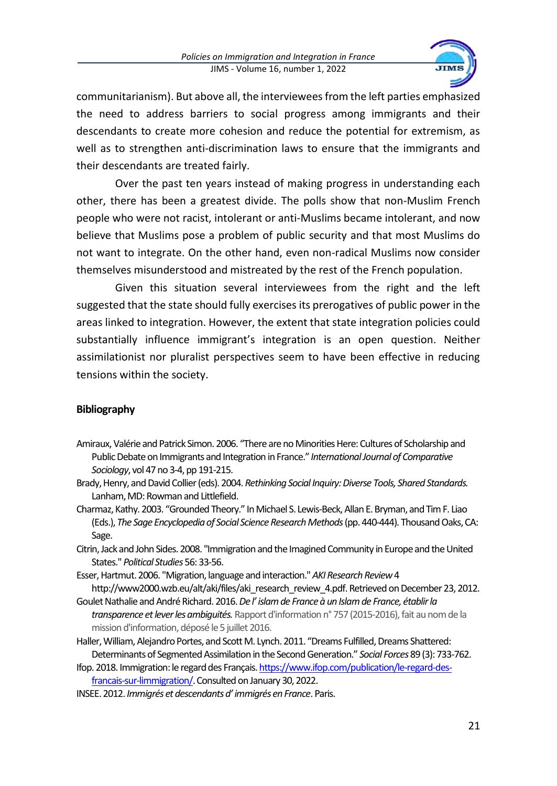

communitarianism). But above all, the interviewees from the left parties emphasized the need to address barriers to social progress among immigrants and their descendants to create more cohesion and reduce the potential for extremism, as well as to strengthen anti-discrimination laws to ensure that the immigrants and their descendants are treated fairly.

Over the past ten years instead of making progress in understanding each other, there has been a greatest divide. The polls show that non-Muslim French people who were not racist, intolerant or anti-Muslims became intolerant, and now believe that Muslims pose a problem of public security and that most Muslims do not want to integrate. On the other hand, even non-radical Muslims now consider themselves misunderstood and mistreated by the rest of the French population.

Given this situation several interviewees from the right and the left suggested that the state should fully exercises its prerogatives of public power in the areas linked to integration. However, the extent that state integration policies could substantially influence immigrant's integration is an open question. Neither assimilationist nor pluralist perspectives seem to have been effective in reducing tensions within the society.

## **Bibliography**

- Amiraux, Valérie and Patrick Simon. 2006. "There are no Minorities Here: Cultures of Scholarship and Public Debate on Immigrants and Integration in France." *International Journal of Comparative Sociology*, vol 47 no 3-4, pp 191-215.
- Brady, Henry, and David Collier (eds). 2004. *Rethinking Social Inquiry: Diverse Tools, Shared Standards.*  Lanham, MD: Rowman and Littlefield.
- Charmaz, Kathy. 2003. "Grounded Theory." In Michael S. Lewis-Beck, Allan E. Bryman, and Tim F. Liao (Eds.), *The Sage Encyclopedia of Social Science Research Methods*(pp. 440-444). Thousand Oaks, CA: Sage.
- Citrin, Jack and John Sides. 2008. "Immigration and the Imagined Community in Europe and the United States." *Political Studies* 56: 33-56.
- Esser, Hartmut. 2006. "Migration, language and interaction." *AKI Research Review*4 http://www2000.wzb.eu/alt/aki/files/aki\_research\_review\_4.pdf. Retrieved on December 23, 2012.
- Goulet Nathalie and André Richard. 2016. *De l' islam de France à un Islam de France, établir la transparence et lever les ambiguités.*Rapport d'information n°757 (2015-2016), fait au nom de la mission d'information, déposé le 5 juillet 2016.
- Haller, William, Alejandro Portes, and Scott M. Lynch. 2011. "Dreams Fulfilled, Dreams Shattered: Determinants of Segmented Assimilation in the Second Generation." *Social Forces* 89 (3): 733-762.
- Ifop. 2018. Immigration: le regard des Français[. https://www.ifop.com/publication/le-regard-des](https://www.ifop.com/publication/le-regard-des-francais-sur-limmigration/)[francais-sur-limmigration/.](https://www.ifop.com/publication/le-regard-des-francais-sur-limmigration/) Consulted on January 30, 2022.
- INSEE. 2012. *Immigrés et descendants d' immigrés en France*. Paris.